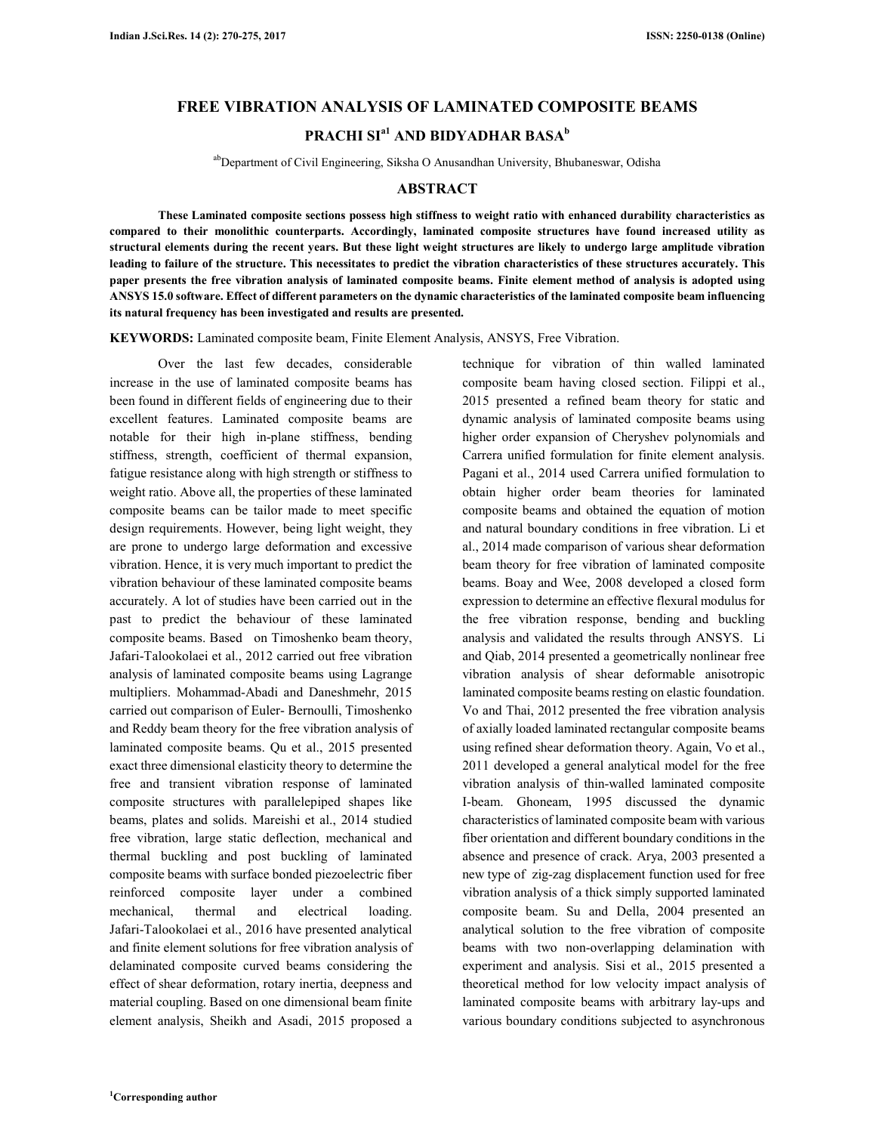### **FREE VIBRATION ANALYSIS OF LAMINATED COMPOSITE BEAMS**

# **PRACHI SIa1 AND BIDYADHAR BASA<sup>b</sup>**

abDepartment of Civil Engineering, Siksha O Anusandhan University, Bhubaneswar, Odisha

#### **ABSTRACT**

**These Laminated composite sections possess high stiffness to weight ratio with enhanced durability characteristics as compared to their monolithic counterparts. Accordingly, laminated composite structures have found increased utility as structural elements during the recent years. But these light weight structures are likely to undergo large amplitude vibration leading to failure of the structure. This necessitates to predict the vibration characteristics of these structures accurately. This paper presents the free vibration analysis of laminated composite beams. Finite element method of analysis is adopted using ANSYS 15.0 software. Effect of different parameters on the dynamic characteristics of the laminated composite beam influencing its natural frequency has been investigated and results are presented.** 

**KEYWORDS:** Laminated composite beam, Finite Element Analysis, ANSYS, Free Vibration.

Over the last few decades, considerable increase in the use of laminated composite beams has been found in different fields of engineering due to their excellent features. Laminated composite beams are notable for their high in-plane stiffness, bending stiffness, strength, coefficient of thermal expansion, fatigue resistance along with high strength or stiffness to weight ratio. Above all, the properties of these laminated composite beams can be tailor made to meet specific design requirements. However, being light weight, they are prone to undergo large deformation and excessive vibration. Hence, it is very much important to predict the vibration behaviour of these laminated composite beams accurately. A lot of studies have been carried out in the past to predict the behaviour of these laminated composite beams. Based on Timoshenko beam theory, Jafari-Talookolaei et al., 2012 carried out free vibration analysis of laminated composite beams using Lagrange multipliers. Mohammad-Abadi and Daneshmehr, 2015 carried out comparison of Euler- Bernoulli, Timoshenko and Reddy beam theory for the free vibration analysis of laminated composite beams. Qu et al., 2015 presented exact three dimensional elasticity theory to determine the free and transient vibration response of laminated composite structures with parallelepiped shapes like beams, plates and solids. Mareishi et al., 2014 studied free vibration, large static deflection, mechanical and thermal buckling and post buckling of laminated composite beams with surface bonded piezoelectric fiber reinforced composite layer under a combined mechanical, thermal and electrical loading. Jafari-Talookolaei et al., 2016 have presented analytical and finite element solutions for free vibration analysis of delaminated composite curved beams considering the effect of shear deformation, rotary inertia, deepness and material coupling. Based on one dimensional beam finite element analysis, Sheikh and Asadi, 2015 proposed a

2015 presented a refined beam theory for static and dynamic analysis of laminated composite beams using higher order expansion of Cheryshev polynomials and Carrera unified formulation for finite element analysis. Pagani et al., 2014 used Carrera unified formulation to obtain higher order beam theories for laminated composite beams and obtained the equation of motion and natural boundary conditions in free vibration. Li et al., 2014 made comparison of various shear deformation beam theory for free vibration of laminated composite beams. Boay and Wee, 2008 developed a closed form expression to determine an effective flexural modulus for the free vibration response, bending and buckling analysis and validated the results through ANSYS. Li and Qiab, 2014 presented a geometrically nonlinear free vibration analysis of shear deformable anisotropic laminated composite beams resting on elastic foundation. Vo and Thai, 2012 presented the free vibration analysis of axially loaded laminated rectangular composite beams using refined shear deformation theory. Again, Vo et al., 2011 developed a general analytical model for the free vibration analysis of thin-walled laminated composite I-beam. Ghoneam, 1995 discussed the dynamic characteristics of laminated composite beam with various fiber orientation and different boundary conditions in the absence and presence of crack. Arya, 2003 presented a new type of zig-zag displacement function used for free vibration analysis of a thick simply supported laminated composite beam. Su and Della, 2004 presented an analytical solution to the free vibration of composite beams with two non-overlapping delamination with experiment and analysis. Sisi et al., 2015 presented a theoretical method for low velocity impact analysis of laminated composite beams with arbitrary lay-ups and various boundary conditions subjected to asynchronous

technique for vibration of thin walled laminated composite beam having closed section. Filippi et al.,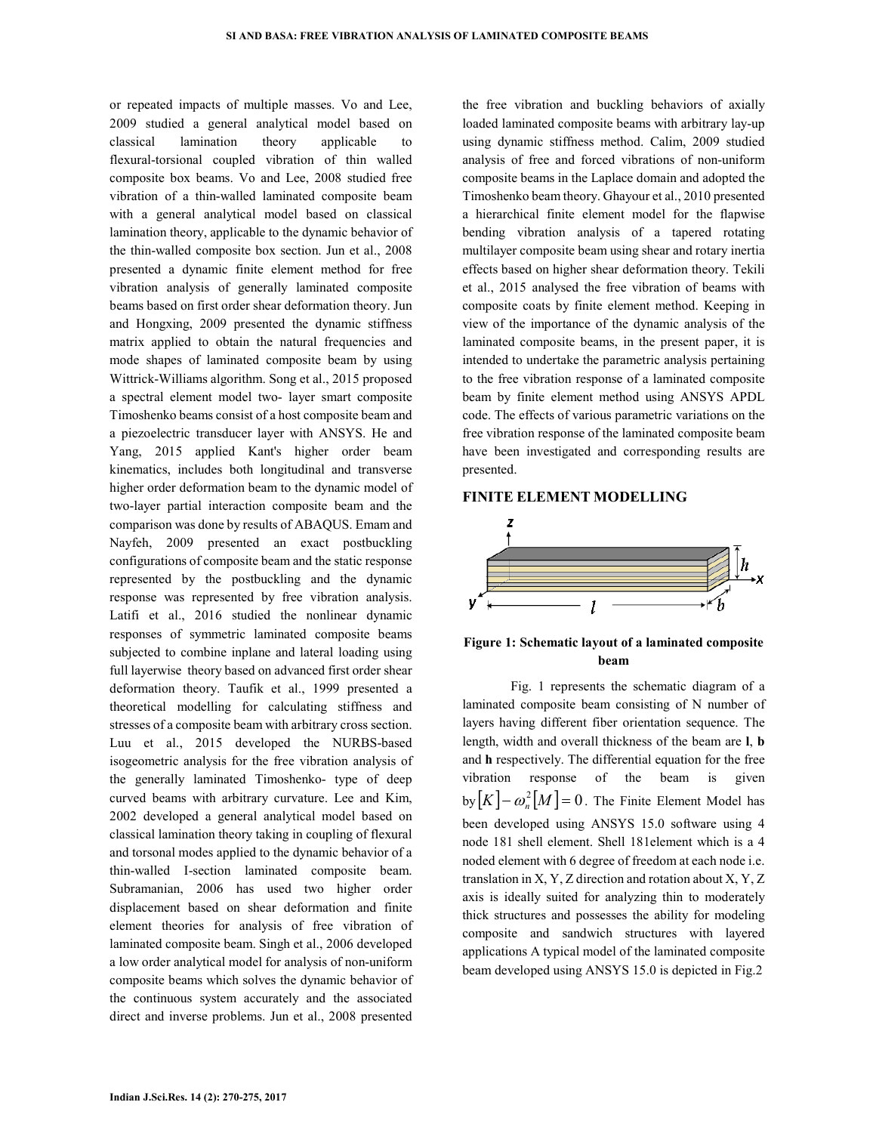or repeated impacts of multiple masses. Vo and Lee, 2009 studied a general analytical model based on classical lamination theory applicable to flexural-torsional coupled vibration of thin walled composite box beams. Vo and Lee, 2008 studied free vibration of a thin-walled laminated composite beam with a general analytical model based on classical lamination theory, applicable to the dynamic behavior of the thin-walled composite box section. Jun et al., 2008 presented a dynamic finite element method for free vibration analysis of generally laminated composite beams based on first order shear deformation theory. Jun and Hongxing, 2009 presented the dynamic stiffness matrix applied to obtain the natural frequencies and mode shapes of laminated composite beam by using Wittrick-Williams algorithm. Song et al., 2015 proposed a spectral element model two- layer smart composite Timoshenko beams consist of a host composite beam and a piezoelectric transducer layer with ANSYS. He and Yang, 2015 applied Kant's higher order beam kinematics, includes both longitudinal and transverse higher order deformation beam to the dynamic model of two-layer partial interaction composite beam and the comparison was done by results of ABAQUS. Emam and Nayfeh, 2009 presented an exact postbuckling configurations of composite beam and the static response represented by the postbuckling and the dynamic response was represented by free vibration analysis. Latifi et al., 2016 studied the nonlinear dynamic responses of symmetric laminated composite beams subjected to combine inplane and lateral loading using full layerwise theory based on advanced first order shear deformation theory. Taufik et al., 1999 presented a theoretical modelling for calculating stiffness and stresses of a composite beam with arbitrary cross section. Luu et al., 2015 developed the NURBS-based isogeometric analysis for the free vibration analysis of the generally laminated Timoshenko- type of deep curved beams with arbitrary curvature. Lee and Kim, 2002 developed a general analytical model based on classical lamination theory taking in coupling of flexural and torsonal modes applied to the dynamic behavior of a thin-walled I-section laminated composite beam. Subramanian, 2006 has used two higher order displacement based on shear deformation and finite element theories for analysis of free vibration of laminated composite beam. Singh et al., 2006 developed a low order analytical model for analysis of non-uniform composite beams which solves the dynamic behavior of the continuous system accurately and the associated direct and inverse problems. Jun et al., 2008 presented

the free vibration and buckling behaviors of axially loaded laminated composite beams with arbitrary lay-up using dynamic stiffness method. Calim, 2009 studied analysis of free and forced vibrations of non-uniform composite beams in the Laplace domain and adopted the Timoshenko beam theory. Ghayour et al., 2010 presented a hierarchical finite element model for the flapwise bending vibration analysis of a tapered rotating multilayer composite beam using shear and rotary inertia effects based on higher shear deformation theory. Tekili et al., 2015 analysed the free vibration of beams with composite coats by finite element method. Keeping in view of the importance of the dynamic analysis of the laminated composite beams, in the present paper, it is intended to undertake the parametric analysis pertaining to the free vibration response of a laminated composite beam by finite element method using ANSYS APDL code. The effects of various parametric variations on the free vibration response of the laminated composite beam have been investigated and corresponding results are presented.

#### **FINITE ELEMENT MODELLING**



## **Figure 1: Schematic layout of a laminated composite beam**

Fig. 1 represents the schematic diagram of a laminated composite beam consisting of N number of layers having different fiber orientation sequence. The length, width and overall thickness of the beam are **l**, **b** and **h** respectively. The differential equation for the free vibration response of the beam is given  $\log[K] - \omega_n^2[M] = 0$ . The Finite Element Model has been developed using ANSYS 15.0 software using 4 node 181 shell element. Shell 181element which is a 4 noded element with 6 degree of freedom at each node i.e. translation in X, Y, Z direction and rotation about X, Y, Z axis is ideally suited for analyzing thin to moderately thick structures and possesses the ability for modeling composite and sandwich structures with layered applications A typical model of the laminated composite beam developed using ANSYS 15.0 is depicted in Fig.2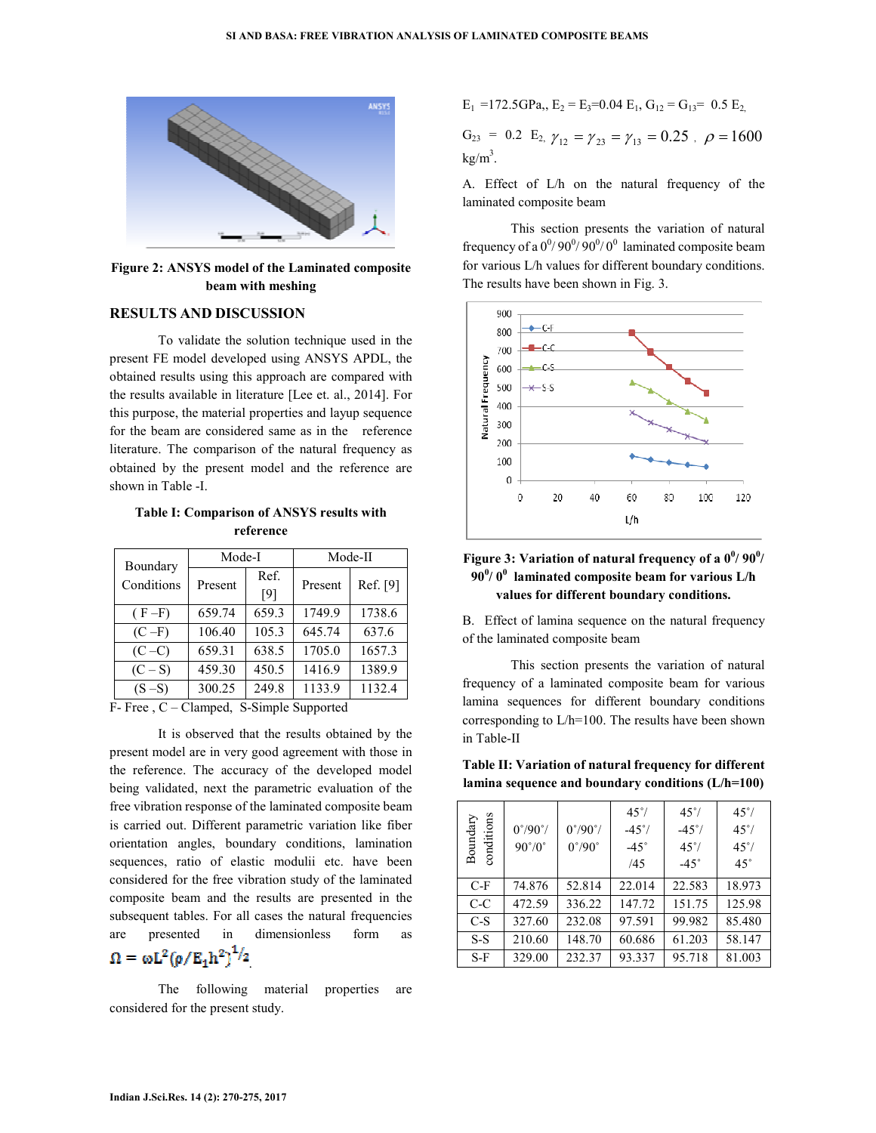

**Figure 2: ANSYS model of the Laminated composite beam with meshing** 

### **RESULTS AND DISCUSSION**

To validate the solution technique used in the present FE model developed using ANSYS APDL, the obtained results using this approach are compared with the results available in literature [Lee et. al., 2014]. For this purpose, the material properties and layup sequence for the beam are considered same as in the reference literature. The comparison of the natural frequency as obtained by the present model and the reference are shown in Table -I.

**Table I: Comparison of ANSYS results with reference** 

| Boundary<br>Conditions | Mode-I  |             | Mode-II |          |  |
|------------------------|---------|-------------|---------|----------|--|
|                        | Present | Ref.<br>[9] | Present | Ref. [9] |  |
| $(F-F)$                | 659.74  | 659.3       | 1749.9  | 1738.6   |  |
| $(C-F)$                | 106.40  | 105.3       | 645.74  | 637.6    |  |
| $(C-C)$                | 659.31  | 638.5       | 1705.0  | 1657.3   |  |
| $(C-S)$                | 459.30  | 450.5       | 1416.9  | 1389.9   |  |
| $(S-S)$                | 300.25  | 249.8       | 1133.9  | 1132.4   |  |

F- Free , C – Clamped, S-Simple Supported

It is observed that the results obtained by the present model are in very good agreement with those in the reference. The accuracy of the developed model being validated, next the parametric evaluation of the free vibration response of the laminated composite beam is carried out. Different parametric variation like fiber orientation angles, boundary conditions, lamination sequences, ratio of elastic modulii etc. have been considered for the free vibration study of the laminated composite beam and the results are presented in the subsequent tables. For all cases the natural frequencies are presented in dimensionless form as .

The following material properties are considered for the present study.

$$
E_1 = 172.5
$$
 GPa<sub>2</sub>,  $E_2 = E_3 = 0.04$  E<sub>1</sub>,  $G_{12} = G_{13} = 0.5$  E<sub>2</sub>,

 $G_{23} = 0.2$  E<sub>2,  $\gamma_{12} = \gamma_{23} = \gamma_{13} = 0.25$ ,  $\rho = 1600$ </sub>  $kg/m<sup>3</sup>$ .

A. Effect of L/h on the natural frequency of the laminated composite beam

This section presents the variation of natural frequency of a  $0^0/90^0/90^0/0^0$  laminated composite beam for various L/h values for different boundary conditions. The results have been shown in Fig. 3.



# Figure 3: Variation of natural frequency of a  $0^0/90^0/$ **90<sup>0</sup> / 0<sup>0</sup> laminated composite beam for various L/h values for different boundary conditions.**

B. Effect of lamina sequence on the natural frequency of the laminated composite beam

This section presents the variation of natural frequency of a laminated composite beam for various lamina sequences for different boundary conditions corresponding to L/h=100. The results have been shown in Table-II

**Table II: Variation of natural frequency for different lamina sequence and boundary conditions (L/h=100)** 

| conditions<br>Boundary | $0^{\circ}/90^{\circ}/$<br>$90^{\circ}/0^{\circ}$ | $0^{\circ}/90^{\circ}/$<br>$0^{\circ}/90^{\circ}$ | $45^{\circ}$<br>$-45^{\circ}$ /<br>$-45^\circ$<br>/45 | $45^{\circ}$<br>$-45^{\circ}$<br>$45^{\circ}$<br>$-45^\circ$ | $45^{\circ}$<br>$45^{\circ}$<br>$45^{\circ}$<br>$45^{\circ}$ |
|------------------------|---------------------------------------------------|---------------------------------------------------|-------------------------------------------------------|--------------------------------------------------------------|--------------------------------------------------------------|
| $C-F$                  | 74.876                                            | 52.814                                            | 22.014                                                | 22.583                                                       | 18.973                                                       |
| C-C                    | 472.59                                            | 336.22                                            | 147.72                                                | 151.75                                                       | 125.98                                                       |
| $C-S$                  | 327.60                                            | 232.08                                            | 97.591                                                | 99.982                                                       | 85.480                                                       |
| $S-S$                  | 210.60                                            | 148.70                                            | 60.686                                                | 61.203                                                       | 58.147                                                       |
| S-F                    | 329.00                                            | 232.37                                            | 93.337                                                | 95.718                                                       | 81.003                                                       |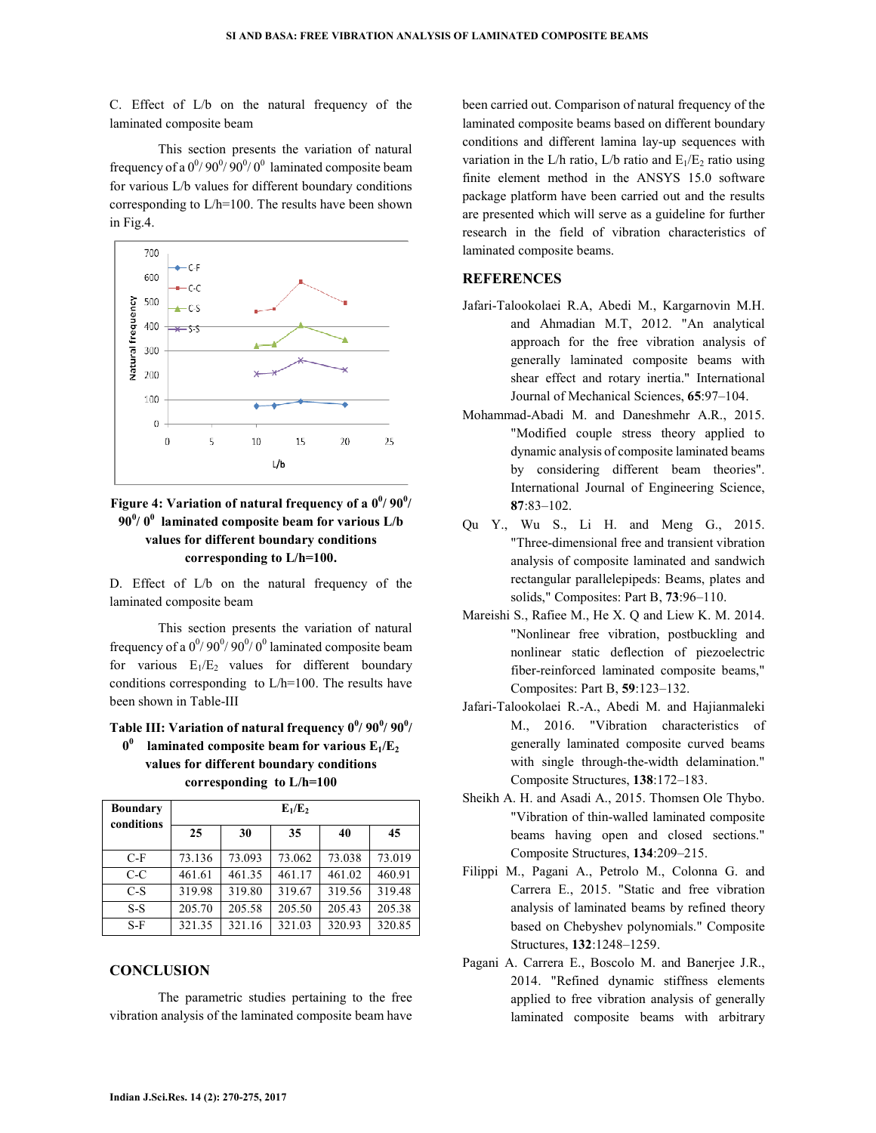C. Effect of L/b on the natural frequency of the laminated composite beam

This section presents the variation of natural frequency of a  $0^{\degree}/90^{\degree}/90^{\degree}/0^{\degree}$  laminated composite beam for various L/b values for different boundary conditions corresponding to L/h=100. The results have been shown in Fig.4.



# Figure 4: Variation of natural frequency of a  $0^0/90^0/$ **90<sup>0</sup> / 0<sup>0</sup> laminated composite beam for various L/b values for different boundary conditions corresponding to L/h=100.**

D. Effect of L/b on the natural frequency of the laminated composite beam

This section presents the variation of natural frequency of a  $0^0/90^0/90^0/0^0$  laminated composite beam for various  $E_1/E_2$  values for different boundary conditions corresponding to L/h=100. The results have been shown in Table-III

**Table III: Variation of natural frequency 0<sup>0</sup> / 90<sup>0</sup> / 90<sup>0</sup> / 0 0 laminated composite beam for various E1/E<sup>2</sup> values for different boundary conditions corresponding to L/h=100** 

| <b>Boundary</b><br>conditions | $E_1/E_2$ |        |        |        |        |  |
|-------------------------------|-----------|--------|--------|--------|--------|--|
|                               | 25        | 30     | 35     | 40     | 45     |  |
| $C-F$                         | 73.136    | 73.093 | 73.062 | 73.038 | 73.019 |  |
| $C-C$                         | 461.61    | 461.35 | 461.17 | 461.02 | 460.91 |  |
| $C-S$                         | 319.98    | 319.80 | 319.67 | 319.56 | 319.48 |  |
| $S-S$                         | 205.70    | 205.58 | 205.50 | 205.43 | 205.38 |  |
| $S-F$                         | 321.35    | 321.16 | 321.03 | 320.93 | 320.85 |  |

#### **CONCLUSION**

The parametric studies pertaining to the free vibration analysis of the laminated composite beam have

been carried out. Comparison of natural frequency of the laminated composite beams based on different boundary conditions and different lamina lay-up sequences with variation in the L/h ratio, L/b ratio and  $E_1/E_2$  ratio using finite element method in the ANSYS 15.0 software package platform have been carried out and the results are presented which will serve as a guideline for further research in the field of vibration characteristics of laminated composite beams.

### **REFERENCES**

- Jafari-Talookolaei R.A, Abedi M., Kargarnovin M.H. and Ahmadian M.T, 2012. "An analytical approach for the free vibration analysis of generally laminated composite beams with shear effect and rotary inertia." International Journal of Mechanical Sciences, **65**:97–104.
- Mohammad-Abadi M. and Daneshmehr A.R., 2015. "Modified couple stress theory applied to dynamic analysis of composite laminated beams by considering different beam theories". International Journal of Engineering Science, **87**:83–102.
- Qu Y., Wu S., Li H. and Meng G., 2015. "Three-dimensional free and transient vibration analysis of composite laminated and sandwich rectangular parallelepipeds: Beams, plates and solids," Composites: Part B, **73**:96–110.
- Mareishi S., Rafiee M., He X. Q and Liew K. M. 2014. "Nonlinear free vibration, postbuckling and nonlinear static deflection of piezoelectric fiber-reinforced laminated composite beams," Composites: Part B, **59**:123–132.
- Jafari-Talookolaei R.-A., Abedi M. and Hajianmaleki M., 2016. "Vibration characteristics of generally laminated composite curved beams with single through-the-width delamination." Composite Structures, **138**:172–183.
- Sheikh A. H. and Asadi A., 2015. Thomsen Ole Thybo. "Vibration of thin-walled laminated composite beams having open and closed sections." Composite Structures, **134**:209–215.
- Filippi M., Pagani A., Petrolo M., Colonna G. and Carrera E., 2015. "Static and free vibration analysis of laminated beams by refined theory based on Chebyshev polynomials." Composite Structures, **132**:1248–1259.
- Pagani A. Carrera E., Boscolo M. and Banerjee J.R., 2014. "Refined dynamic stiffness elements applied to free vibration analysis of generally laminated composite beams with arbitrary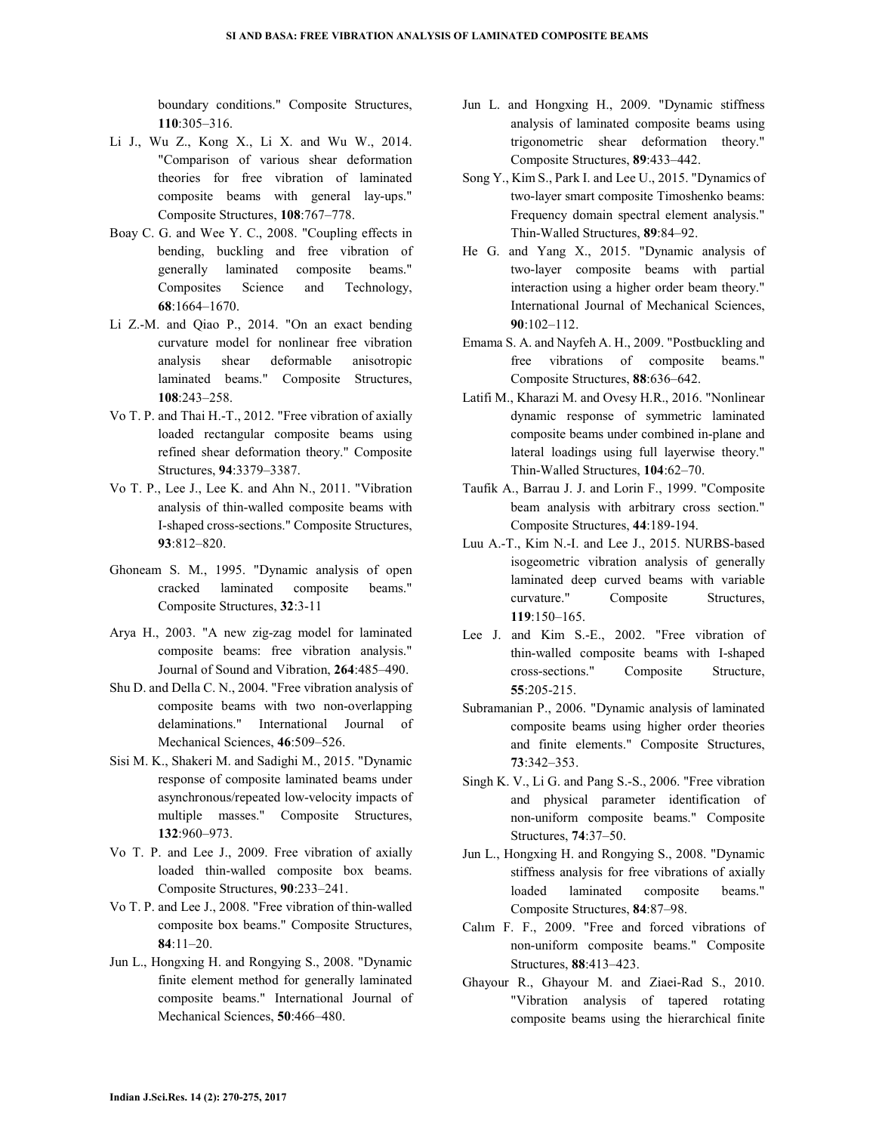boundary conditions." Composite Structures, **110**:305–316.

- Li J., Wu Z., Kong X., Li X. and Wu W., 2014. "Comparison of various shear deformation theories for free vibration of laminated composite beams with general lay-ups." Composite Structures, **108**:767–778.
- Boay C. G. and Wee Y. C., 2008. "Coupling effects in bending, buckling and free vibration of generally laminated composite beams." Composites Science and Technology, **68**:1664–1670.
- Li Z.-M. and Qiao P., 2014. "On an exact bending curvature model for nonlinear free vibration analysis shear deformable anisotropic laminated beams." Composite Structures, **108**:243–258.
- Vo T. P. and Thai H.-T., 2012. "Free vibration of axially loaded rectangular composite beams using refined shear deformation theory." Composite Structures, **94**:3379–3387.
- Vo T. P., Lee J., Lee K. and Ahn N., 2011. "Vibration analysis of thin-walled composite beams with I-shaped cross-sections." Composite Structures, **93**:812–820.
- Ghoneam S. M., 1995. "Dynamic analysis of open cracked laminated composite beams." Composite Structures, **32**:3-11
- Arya H., 2003. "A new zig-zag model for laminated composite beams: free vibration analysis." Journal of Sound and Vibration, **264**:485–490.
- Shu D. and Della C. N., 2004. "Free vibration analysis of composite beams with two non-overlapping delaminations." International Journal of Mechanical Sciences, **46**:509–526.
- Sisi M. K., Shakeri M. and Sadighi M., 2015. "Dynamic response of composite laminated beams under asynchronous/repeated low-velocity impacts of multiple masses." Composite Structures, **132**:960–973.
- Vo T. P. and Lee J., 2009. Free vibration of axially loaded thin-walled composite box beams. Composite Structures, **90**:233–241.
- Vo T. P. and Lee J., 2008. "Free vibration of thin-walled composite box beams." Composite Structures, **84**:11–20.
- Jun L., Hongxing H. and Rongying S., 2008. "Dynamic finite element method for generally laminated composite beams." International Journal of Mechanical Sciences, **50**:466–480.
- Jun L. and Hongxing H., 2009. "Dynamic stiffness analysis of laminated composite beams using trigonometric shear deformation theory." Composite Structures, **89**:433–442.
- Song Y., Kim S., Park I. and Lee U., 2015. "Dynamics of two-layer smart composite Timoshenko beams: Frequency domain spectral element analysis." Thin-Walled Structures, **89**:84–92.
- He G. and Yang X., 2015. "Dynamic analysis of two-layer composite beams with partial interaction using a higher order beam theory." International Journal of Mechanical Sciences, **90**:102–112.
- Emama S. A. and Nayfeh A. H., 2009. "Postbuckling and free vibrations of composite beams." Composite Structures, **88**:636–642.
- Latifi M., Kharazi M. and Ovesy H.R., 2016. "Nonlinear dynamic response of symmetric laminated composite beams under combined in-plane and lateral loadings using full layerwise theory." Thin-Walled Structures, **104**:62–70.
- Taufik A., Barrau J. J. and Lorin F., 1999. "Composite beam analysis with arbitrary cross section." Composite Structures, **44**:189-194.
- Luu A.-T., Kim N.-I. and Lee J., 2015. NURBS-based isogeometric vibration analysis of generally laminated deep curved beams with variable curvature." Composite Structures, **119**:150–165.
- Lee J. and Kim S.-E., 2002. "Free vibration of thin-walled composite beams with I-shaped cross-sections." Composite Structure, **55**:205-215.
- Subramanian P., 2006. "Dynamic analysis of laminated composite beams using higher order theories and finite elements." Composite Structures, **73**:342–353.
- Singh K. V., Li G. and Pang S.-S., 2006. "Free vibration and physical parameter identification of non-uniform composite beams." Composite Structures, **74**:37–50.
- Jun L., Hongxing H. and Rongying S., 2008. "Dynamic stiffness analysis for free vibrations of axially loaded laminated composite beams." Composite Structures, **84**:87–98.
- Calım F. F., 2009. "Free and forced vibrations of non-uniform composite beams." Composite Structures, **88**:413–423.
- Ghayour R., Ghayour M. and Ziaei-Rad S., 2010. "Vibration analysis of tapered rotating composite beams using the hierarchical finite